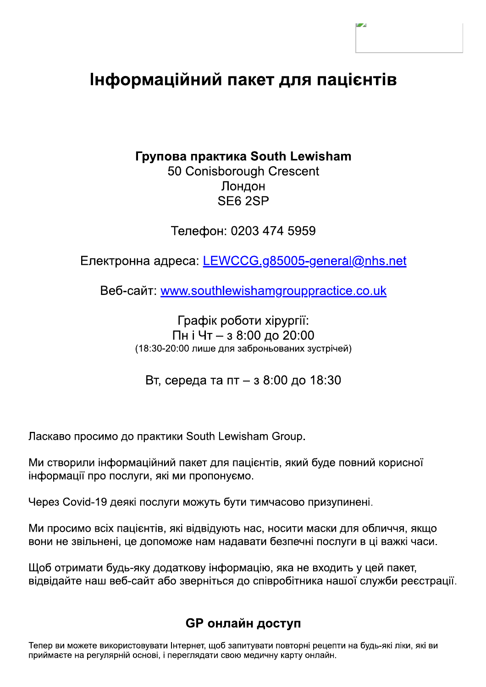# Інформаційний пакет для пацієнтів

Групова практика South Lewisham

50 Conisborough Crescent Лондон SE6 2SP

Телефон: 0203 474 5959

Електронна адреса: LEWCCG.g85005-general@nhs.net

Веб-сайт: www.southlewishamgrouppractice.co.uk

Графік роботи хірургії: ПніЧт - з 8:00 до 20:00 (18:30-20:00 лише для заброньованих зустрічей)

Вт, середа та пт - з 8:00 до 18:30

Ласкаво просимо до практики South Lewisham Group.

Ми створили інформаційний пакет для пацієнтів, який буде повний корисної інформації про послуги, які ми пропонуємо.

Через Covid-19 деякі послуги можуть бути тимчасово призупинені.

Ми просимо всіх пацієнтів, які відвідують нас, носити маски для обличчя, якщо вони не звільнені, це допоможе нам надавати безпечні послуги в ці важкі часи.

Щоб отримати будь-яку додаткову інформацію, яка не входить у цей пакет, відвідайте наш веб-сайт або зверніться до співробітника нашої служби реєстрації.

## **GP онлайн доступ**

Тепер ви можете використовувати Інтернет, щоб запитувати повторні рецепти на будь-які ліки, які ви приймаєте на регулярній основі, і переглядати свою медичну карту онлайн.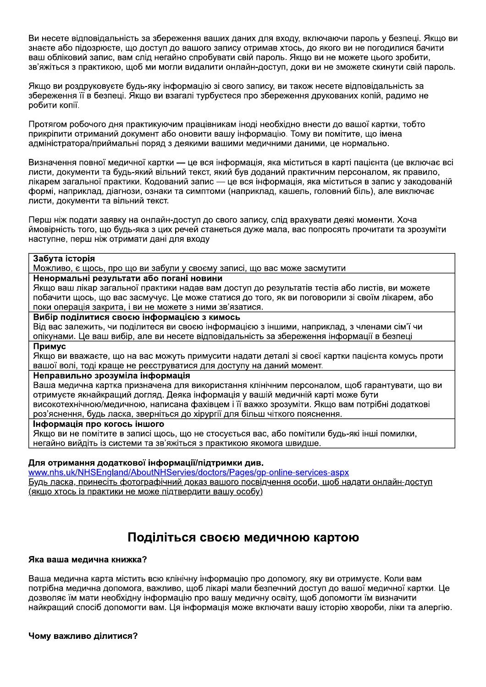Ви несете відповідальність за збереження ваших даних для входу, включаючи пароль у безпеці. Якщо ви знаєте або підозрюєте, що доступ до вашого запису отримав хтось, до якого ви не погодилися бачити ваш обліковий запис, вам слід негайно спробувати свій пароль. Якшо ви не можете цього зробити. зв'яжіться з практикою, щоб ми могли видалити онлайн-доступ, доки ви не зможете скинути свій пароль.

Якщо ви роздруковуєте будь-яку інформацію зі свого запису, ви також несете відповідальність за збереження її в безпеці. Якщо ви взагалі турбуєтеся про збереження друкованих копій, радимо не робити копії.

Протягом робочого дня практикуючим працівникам іноді необхідно внести до вашої картки, тобто прикріпити отриманий документ або оновити вашу інформацію. Тому ви помітите, що імена адміністратора/приймальні поряд з деякими вашими медичними даними, це нормально.

Визначення повної медичної картки — це вся інформація, яка міститься в карті пацієнта (це включає всі листи, документи та будь-який вільний текст, який був доданий практичним персоналом, як правило, лікарем загальної практики. Кодований запис — це вся інформація, яка міститься в запис у закодованій формі, наприклад, діагнози, ознаки та симптоми (наприклад, кашель, головний біль), але виключає листи, документи та вільний текст.

Перш ніж подати заявку на онлайн-доступ до свого запису, слід врахувати деякі моменти. Хоча ймовірність того, що будь-яка з цих речей станеться дуже мала, вас попросять прочитати та зрозуміти наступне, перш ніж отримати дані для входу

#### Забута історія

Можливо, є щось, про що ви забули у своєму записі, що вас може засмутити

#### Ненормальні результати або погані новини

Якщо ваш лікар загальної практики надав вам доступ до результатів тестів або листів, ви можете побачити щось, що вас засмучує. Це може статися до того, як ви поговорили зі своїм лікарем, або поки операція закрита, і ви не можете з ними зв'язатися.

### Вибір поділитися своєю інформацією з кимось

Від вас залежить, чи поділитеся ви своєю інформацією з іншими, наприклад, з членами сім'ї чи опікунами. Це ваш вибір, але ви несете відповідальність за збереження інформації в безпеці

#### Примус

Якщо ви вважаєте, що на вас можуть примусити надати деталі зі своєї картки пацієнта комусь проти вашої волі, тоді краще не реєструватися для доступу на даний момент.

#### Неправильно зрозуміла інформація

Ваша медична картка призначена для використання клінічним персоналом, щоб гарантувати, що ви отримуєте якнайкращий догляд. Деяка інформація у вашій медичній карті може бути високотехнічною/медичною, написана фахівцем і її важко зрозуміти. Якщо вам потрібні додаткові роз'яснення, будь ласка, зверніться до хірургії для більш чіткого пояснення.

### Інформація про когось іншого

Якщо ви не помітите в записі щось, що не стосується вас, або помітили будь-які інші помилки, негайно вийдіть із системи та зв'яжіться з практикою якомога швидше.

### Для отримання додаткової інформації/підтримки див.

www.nhs.uk/NHSEngland/AboutNHServies/doctors/Pages/gp-online-services-aspx Будь ласка, принесіть фотографічний доказ вашого посвідчення особи, щоб надати онлайн-доступ (якщо хтось із практики не може підтвердити вашу особу)

### Поділіться своєю медичною картою

#### Яка ваша медична книжка?

Ваша медична карта містить всю клінічну інформацію про допомогу, яку ви отримуєте. Коли вам потрібна медична допомога, важливо, щоб лікарі мали безпечний доступ до вашої медичної картки. Це дозволяє їм мати необхідну інформацію про вашу медичну освіту, щоб допомогти їм визначити найкращий спосіб допомогти вам. Ця інформація може включати вашу історію хвороби, ліки та алергію.

### Чому важливо ділитися?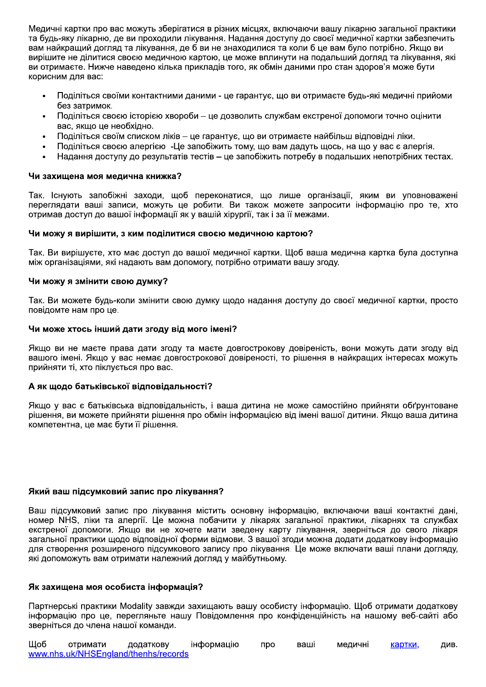Медичні картки про вас можуть зберігатися в різних місцях, включаючи вашу лікарню загальної практики та будь-яку лікарню, де ви проходили лікування. Надання доступу до своєї медичної картки забезпечить вам найкращий догляд та лікування, де б ви не знаходилися та коли б це вам було потрібно. Якщо ви вирішите не ділитися своєю медичною картою, це може вплинути на подальший догляд та лікування, які ви отримаєте. Нижче наведено кілька прикладів того, як обмін даними про стан здоров'я може бути корисним для вас:

- Поділіться своїми контактними даними це гарантує, що ви отримаєте будь-які медичні прийоми  $\bullet$ без затримок.
- Поділіться своєю історією хвороби це дозволить службам екстреної допомоги точно оцінити  $\bullet$ вас, якшо це необхідно.
- Поділіться своїм списком ліків це гарантує, що ви отримаєте найбільш відповідні ліки.  $\bullet$
- Поділіться своєю алергією -Це запобіжить тому, що вам дадуть щось, на що у вас є алергія.
- Надання доступу до результатів тестів це запобіжить потребу в подальших непотрібних тестах.

#### Чи захишена моя медична книжка?

Так. Існують запобіжні заходи, щоб переконатися, що лише організації, яким ви уповноважені переглядати ваші записи, можуть це робити. Ви також можете запросити інформацію про те, хто отримав доступ до вашої інформації як у вашій хірургії, так і за її межами.

#### Чи можу я вирішити, з ким поділитися своєю медичною картою?

Так. Ви вирішуєте, хто має доступ до вашої медичної картки. Щоб ваша медична картка була доступна між організаціями, які надають вам допомогу, потрібно отримати вашу згоду.

#### Чи можу я змінити свою думку?

Так. Ви можете будь-коли змінити свою думку щодо надання доступу до своєї медичної картки, просто повідомте нам про це.

#### Чи може хтось інший дати згоду від мого імені?

Якщо ви не маєте права дати згоду та маєте довгострокову довіреність, вони можуть дати згоду від вашого імені. Якщо у вас немає довгострокової довіреності, то рішення в найкращих інтересах можуть прийняти ті, хто піклується про вас.

### А як щодо батьківської відповідальності?

Якщо у вас є батьківська відповідальність, і ваша дитина не може самостійно прийняти обґрунтоване рішення, ви можете прийняти рішення про обмін інформацією від імені вашої дитини. Якщо ваша дитина компетентна, це має бути її рішення.

### Який ваш підсумковий запис про лікування?

Ваш підсумковий запис про лікування містить основну інформацію, включаючи ваші контактні дані, номер NHS, ліки та алергії. Це можна побачити у лікарях загальної практики, лікарнях та службах екстреної допомоги. Якщо ви не хочете мати зведену карту лікування, зверніться до свого лікаря загальної практики щодо відповідної форми відмови. З вашої згоди можна додати додаткову інформацію для створення розширеного підсумкового запису про лікування. Це може включати ваші плани догляду, які допоможуть вам отримати належний догляд у майбутньому.

### Як захищена моя особиста інформація?

Партнерські практики Modality завжди захищають вашу особисту інформацію. Щоб отримати додаткову інформацію про це, перегляньте нашу Повідомлення про конфіденційність на нашому веб-сайті або зверніться до члена нашої команди.

Шоб отримати додаткову інформацію про ваші медичні див. картки, www.nhs.uk/NHSEngland/thenhs/records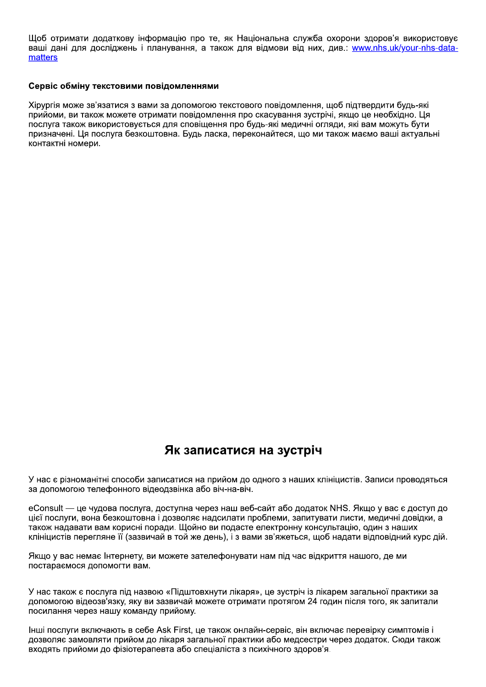Щоб отримати додаткову інформацію про те, як Національна служба охорони здоров'я використовує ваші дані для досліджень і планування, а також для відмови від них, див.: www.nhs.uk/your-nhs-datamatters

#### Сервіс обміну текстовими повідомленнями

Хірургія може зв'язатися з вами за допомогою текстового повідомлення, щоб підтвердити будь-які прийоми, ви також можете отримати повідомлення про скасування зустрічі, якщо це необхідно. Ця послуга також використовується для сповіщення про будь-які медичні огляди, які вам можуть бути призначені. Ця послуга безкоштовна. Будь ласка, переконайтеся, що ми також маємо ваші актуальні контактні номери.

### Як записатися на зустріч

У нас є різноманітні способи записатися на прийом до одного з наших клініцистів. Записи проводяться за допомогою телефонного відеодзвінка або віч-на-віч.

eConsult — це чудова послуга, доступна через наш веб-сайт або додаток NHS, Якщо у вас є доступ до цієї послуги, вона безкоштовна і дозволяє надсилати проблеми, запитувати листи, медичні довідки, а також надавати вам корисні поради. Щойно ви подасте електронну консультацію, один з наших клініцистів перегляне її (зазвичай в той же день), і з вами зв'яжеться, щоб надати відповідний курс дій.

Якщо у вас немає Інтернету, ви можете зателефонувати нам під час відкриття нашого, де ми постараємося допомогти вам.

У нас також є послуга під назвою «Підштовхнути лікаря», це зустріч із лікарем загальної практики за допомогою відеозв'язку, яку ви зазвичай можете отримати протягом 24 годин після того, як запитали посилання через нашу команду прийому.

Інші послуги включають в себе Ask First, це також онлайн-сервіс, він включає перевірку симптомів і дозволяє замовляти прийом до лікаря загальної практики або медсестри через додаток. Сюди також входять прийоми до фізіотерапевта або спеціаліста з психічного здоров'я.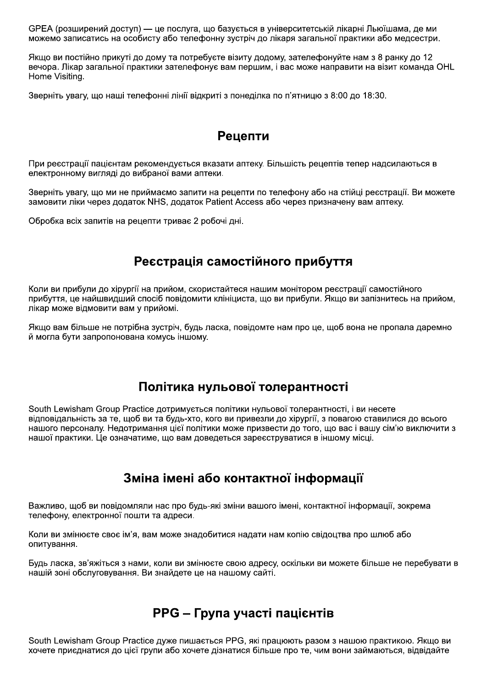GPEA (розширений доступ) — це послуга, що базується в університетській лікарні Льюїшама, де ми можемо записатись на особисту або телефонну зустріч до лікаря загальної практики або медсестри.

Якщо ви постійно прикуті до дому та потребуєте візиту додому, зателефонуйте нам з 8 ранку до 12 вечора. Лікар загальної практики зателефонує вам першим, і вас може направити на візит команда ОНЦ Home Visiting.

Зверніть увагу, що наші телефонні лінії відкриті з понеділка по п'ятницю з 8:00 до 18:30.

### Рецепти

При реєстрації пацієнтам рекомендується вказати аптеку. Більшість рецептів тепер надсилаються в електронному вигляді до вибраної вами аптеки.

Зверніть увагу, що ми не приймаємо запити на рецепти по телефону або на стійці реєстрації. Ви можете замовити ліки через додаток NHS, додаток Patient Access або через призначену вам аптеку.

Обробка всіх запитів на рецепти триває 2 робочі дні.

### Реєстрація самостійного прибуття

Коли ви прибули до хірургії на прийом, скористайтеся нашим монітором реєстрації самостійного прибуття, це найшвидший спосіб повідомити клініциста, що ви прибули. Якщо ви запізнитесь на прийом, лікар може відмовити вам у прийомі.

Якшо вам більше не потрібна зустріч. будь ласка, повідомте нам про це, щоб вона не пропала даремно й могла бути запропонована комусь іншому.

### Політика нульової толерантності

South Lewisham Group Practice дотримується політики нульової толерантності, і ви несете відповідальність за те, щоб ви та будь-хто, кого ви привезли до хірургії, з повагою ставилися до всього нашого персоналу. Недотримання цієї політики може призвести до того, що вас і вашу сім'ю виключити з нашої практики. Це означатиме, що вам доведеться зареєструватися в іншому місці.

### Зміна імені або контактної інформації

Важливо, щоб ви повідомляли нас про будь-які зміни вашого імені, контактної інформації, зокрема телефону, електронної пошти та адреси.

Коли ви змінюєте своє ім'я, вам може знадобитися надати нам копію свідоцтва про шлюб або опитування.

Будь ласка, зв'яжіться з нами, коли ви змінюєте свою адресу, оскільки ви можете більше не перебувати в нашій зоні обслуговування. Ви знайдете це на нашому сайті.

### **PPG - Група участі пацієнтів**

South Lewisham Group Practice дуже пишається PPG, які працюють разом з нашою практикою. Якщо ви хочете приєднатися до цієї групи або хочете дізнатися більше про те, чим вони займаються, відвідайте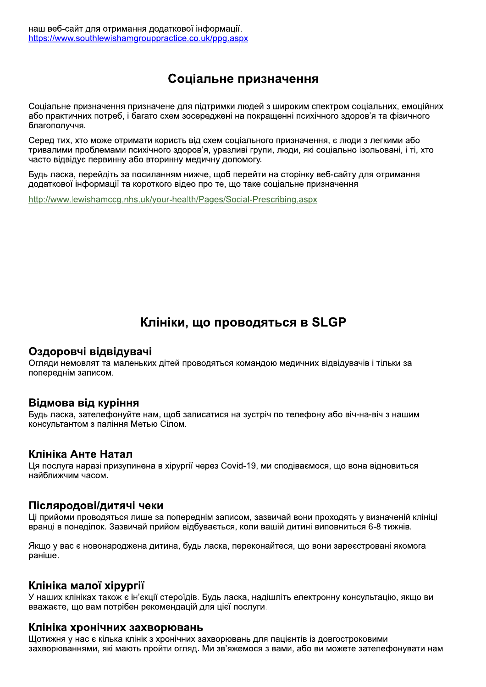### Соціальне призначення

Соціальне призначення призначене для підтримки людей з широким спектром соціальних, емоційних або практичних потреб, і багато схем зосереджені на покращенні психічного здоров'я та фізичного благополуччя.

Серед тих, хто може отримати користь від схем соціального призначення, є люди з легкими або тривалими проблемами психічного здоров'я, уразливі групи, люди, які соціально ізольовані, і ті, хто часто відвідує первинну або вторинну медичну допомогу.

Будь ласка, перейдіть за посиланням нижче, щоб перейти на сторінку веб-сайту для отримання додаткової інформації та короткого відео про те, що таке соціальне призначення

http://www.lewishamccq.nhs.uk/your-health/Pages/Social-Prescribing.aspx

### Клініки, що проводяться в SLGP

### Оздоровчі відвідувачі

Огляди немовлят та маленьких дітей проводяться командою медичних відвідувачів і тільки за попереднім записом.

### Відмова від куріння

Будь ласка, зателефонуйте нам, щоб записатися на зустріч по телефону або віч-на-віч з нашим консультантом з паління Метью Сілом.

### Клініка Анте Натал

Ця послуга наразі призупинена в хірургії через Covid-19, ми сподіваємося, що вона відновиться найближчим часом.

### Післяродові/дитячі чеки

Ці прийоми проводяться лише за попереднім записом, зазвичай вони проходять у визначеній клініці вранці в понеділок. Зазвичай прийом відбувається, коли вашій дитині виповниться 6-8 тижнів.

Якщо у вас є новонароджена дитина, будь ласка, переконайтеся, що вони зареєстровані якомога раніше.

### Клініка малої хірургії

У наших клініках також є ін'єкції стероїдів. Будь ласка, надішліть електронну консультацію, якщо ви вважаєте, що вам потрібен рекомендацій для цієї послуги.

### Клініка хронічних захворювань

Шотижня у нас є кілька клінік з хронічних захворювань для пацієнтів із довгостроковими захворюваннями, які мають пройти огляд. Ми зв'яжемося з вами, або ви можете зателефонувати нам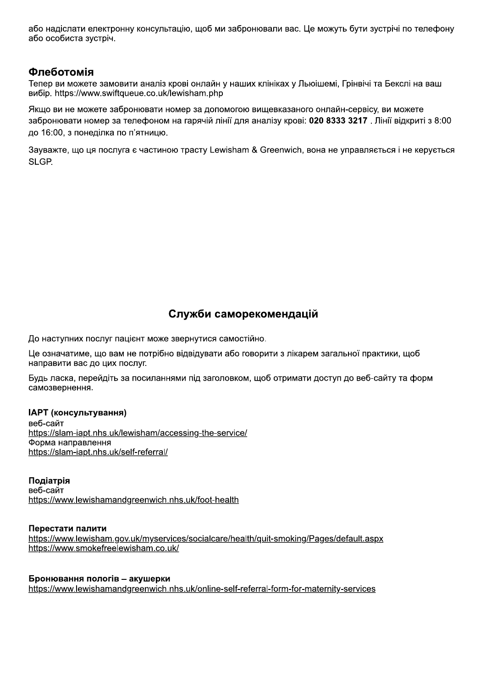або надіслати електронну консультацію, щоб ми забронювали вас. Це можуть бути зустрічі по телефону або особиста зустріч.

### Флеботомія

Тепер ви можете замовити аналіз крові онлайн у наших клініках у Льюішемі, Грінвічі та Бекслі на ваш вибір. https://www.swiftqueue.co.uk/lewisham.php

Якщо ви не можете забронювати номер за допомогою вищевказаного онлайн-сервісу, ви можете забронювати номер за телефоном на гарячій лінії для аналізу крові: 020 8333 3217. Лінії відкриті з 8:00 до 16:00, з понеділка по п'ятницю.

Зауважте, що ця послуга є частиною трасту Lewisham & Greenwich, вона не управляється і не керується SLGP.

### Служби саморекомендацій

До наступних послуг пацієнт може звернутися самостійно.

Це означатиме, що вам не потрібно відвідувати або говорити з лікарем загальної практики, щоб направити вас до цих послуг.

Будь ласка, перейдіть за посиланнями під заголовком, щоб отримати доступ до веб-сайту та форм самозвернення.

### **IAPT** (консультування)

веб-сайт https://slam-iapt.nhs.uk/lewisham/accessing-the-service/ Форма направлення https://slam-iapt.nhs.uk/self-referral/

### Подіатрія

веб-сайт https://www.lewishamandgreenwich.nhs.uk/foot-health

### Перестати палити

https://www.lewisham.gov.uk/myservices/socialcare/health/guit-smoking/Pages/default.aspx https://www.smokefreelewisham.co.uk/

Бронювання пологів - акушерки https://www.lewishamandgreenwich.nhs.uk/online-self-referral-form-for-maternity-services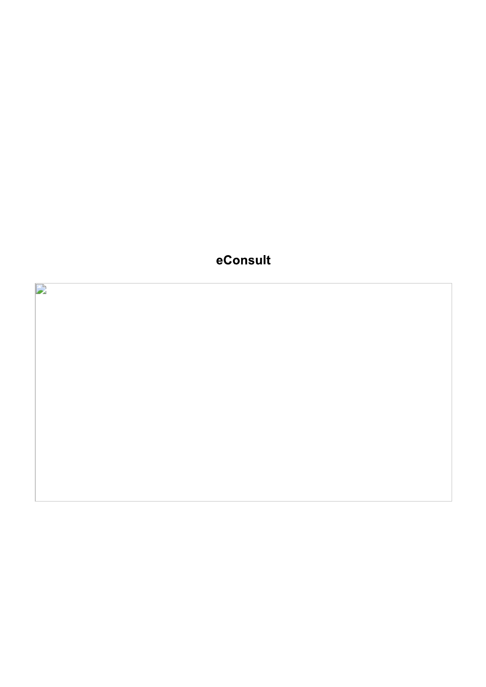# eConsult

 $\mathbf{z}$